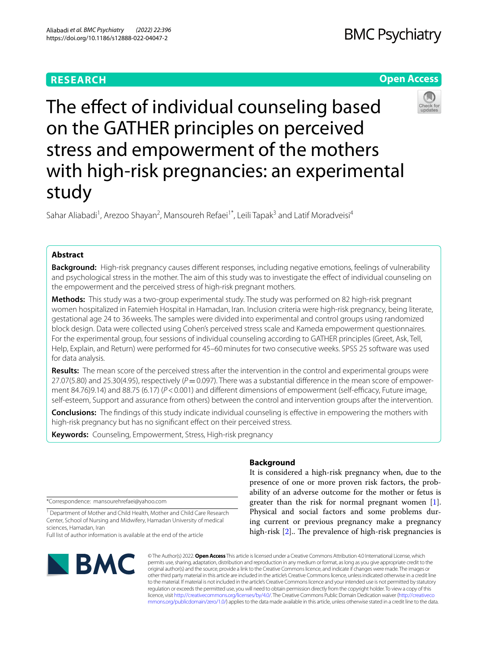# **RESEARCH**

# **BMC Psychiatry**

# **Open Access**



The effect of individual counseling based on the GATHER principles on perceived stress and empowerment of the mothers with high-risk pregnancies: an experimental study

Sahar Aliabadi<sup>1</sup>, Arezoo Shayan<sup>2</sup>, Mansoureh Refaei<sup>1\*</sup>, Leili Tapak<sup>3</sup> and Latif Moradveisi<sup>4</sup>

# **Abstract**

**Background:** High-risk pregnancy causes diferent responses, including negative emotions, feelings of vulnerability and psychological stress in the mother. The aim of this study was to investigate the efect of individual counseling on the empowerment and the perceived stress of high-risk pregnant mothers.

**Methods:** This study was a two-group experimental study. The study was performed on 82 high-risk pregnant women hospitalized in Fatemieh Hospital in Hamadan, Iran. Inclusion criteria were high-risk pregnancy, being literate, gestational age 24 to 36weeks. The samples were divided into experimental and control groups using randomized block design. Data were collected using Cohen's perceived stress scale and Kameda empowerment questionnaires. For the experimental group, four sessions of individual counseling according to GATHER principles (Greet, Ask, Tell, Help, Explain, and Return) were performed for 45–60minutes for two consecutive weeks. SPSS 25 software was used for data analysis.

**Results:** The mean score of the perceived stress after the intervention in the control and experimental groups were  $27.07(5.80)$  and  $25.30(4.95)$ , respectively ( $P=0.097$ ). There was a substantial difference in the mean score of empowerment 84.76)9.14) and 88.75 (6.17) ( $P < 0.001$ ) and different dimensions of empowerment (self-efficacy, Future image, self-esteem, Support and assurance from others) between the control and intervention groups after the intervention.

**Conclusions:** The fndings of this study indicate individual counseling is efective in empowering the mothers with high-risk pregnancy but has no signifcant efect on their perceived stress.

**Keywords:** Counseling, Empowerment, Stress, High-risk pregnancy

# **Background**

\*Correspondence: mansourehrefaei@yahoo.com

<sup>1</sup> Department of Mother and Child Health, Mother and Child Care Research Center, School of Nursing and Midwifery, Hamadan University of medical sciences, Hamadan, Iran

Full list of author information is available at the end of the article



© The Author(s) 2022. **Open Access** This article is licensed under a Creative Commons Attribution 4.0 International License, which permits use, sharing, adaptation, distribution and reproduction in any medium or format, as long as you give appropriate credit to the original author(s) and the source, provide a link to the Creative Commons licence, and indicate if changes were made. The images or other third party material in this article are included in the article's Creative Commons licence, unless indicated otherwise in a credit line to the material. If material is not included in the article's Creative Commons licence and your intended use is not permitted by statutory regulation or exceeds the permitted use, you will need to obtain permission directly from the copyright holder. To view a copy of this licence, visit [http://creativecommons.org/licenses/by/4.0/.](http://creativecommons.org/licenses/by/4.0/) The Creative Commons Public Domain Dedication waiver ([http://creativeco](http://creativecommons.org/publicdomain/zero/1.0/) [mmons.org/publicdomain/zero/1.0/](http://creativecommons.org/publicdomain/zero/1.0/)) applies to the data made available in this article, unless otherwise stated in a credit line to the data.

It is considered a high-risk pregnancy when, due to the presence of one or more proven risk factors, the probability of an adverse outcome for the mother or fetus is greater than the risk for normal pregnant women [\[1](#page-5-0)]. Physical and social factors and some problems during current or previous pregnancy make a pregnancy high-risk  $[2]$  $[2]$ .. The prevalence of high-risk pregnancies is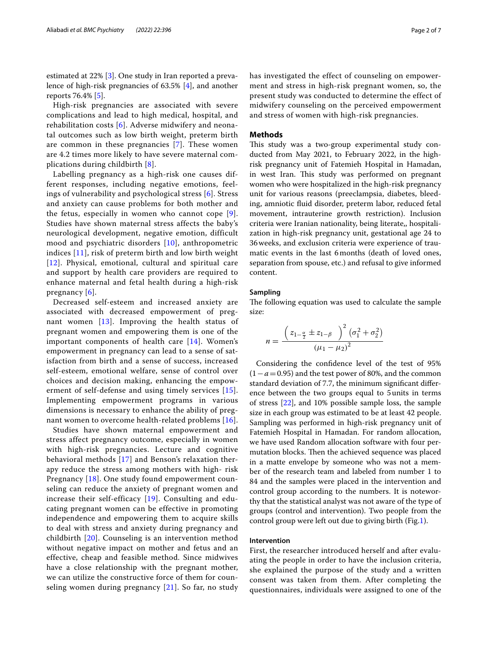estimated at 22% [[3](#page-5-2)]. One study in Iran reported a prevalence of high-risk pregnancies of 63.5% [[4\]](#page-5-3), and another reports 76.4% [\[5](#page-5-4)].

High-risk pregnancies are associated with severe complications and lead to high medical, hospital, and rehabilitation costs [[6](#page-5-5)]. Adverse midwifery and neonatal outcomes such as low birth weight, preterm birth are common in these pregnancies [\[7\]](#page-5-6). These women are 4.2 times more likely to have severe maternal complications during childbirth [[8](#page-6-0)].

Labelling pregnancy as a high-risk one causes different responses, including negative emotions, feelings of vulnerability and psychological stress [[6](#page-5-5)]. Stress and anxiety can cause problems for both mother and the fetus, especially in women who cannot cope [[9\]](#page-6-1). Studies have shown maternal stress affects the baby's neurological development, negative emotion, difficult mood and psychiatric disorders [\[10](#page-6-2)], anthropometric indices [[11\]](#page-6-3), risk of preterm birth and low birth weight [[12](#page-6-4)]. Physical, emotional, cultural and spiritual care and support by health care providers are required to enhance maternal and fetal health during a high-risk pregnancy [[6](#page-5-5)].

Decreased self-esteem and increased anxiety are associated with decreased empowerment of pregnant women [[13\]](#page-6-5). Improving the health status of pregnant women and empowering them is one of the important components of health care [\[14\]](#page-6-6). Women's empowerment in pregnancy can lead to a sense of satisfaction from birth and a sense of success, increased self-esteem, emotional welfare, sense of control over choices and decision making, enhancing the empowerment of self-defense and using timely services [[15\]](#page-6-7). Implementing empowerment programs in various dimensions is necessary to enhance the ability of pregnant women to overcome health-related problems [[16\]](#page-6-8).

Studies have shown maternal empowerment and stress affect pregnancy outcome, especially in women with high-risk pregnancies. Lecture and cognitive behavioral methods [[17](#page-6-9)] and Benson's relaxation therapy reduce the stress among mothers with high- risk Pregnancy [[18](#page-6-10)]. One study found empowerment counseling can reduce the anxiety of pregnant women and increase their self-efficacy [[19\]](#page-6-11). Consulting and educating pregnant women can be effective in promoting independence and empowering them to acquire skills to deal with stress and anxiety during pregnancy and childbirth [[20](#page-6-12)]. Counseling is an intervention method without negative impact on mother and fetus and an effective, cheap and feasible method. Since midwives have a close relationship with the pregnant mother, we can utilize the constructive force of them for counseling women during pregnancy  $[21]$  $[21]$ . So far, no study has investigated the effect of counseling on empowerment and stress in high-risk pregnant women, so, the present study was conducted to determine the effect of midwifery counseling on the perceived empowerment and stress of women with high-risk pregnancies.

#### **Methods**

This study was a two-group experimental study conducted from May 2021, to February 2022, in the highrisk pregnancy unit of Fatemieh Hospital in Hamadan, in west Iran. This study was performed on pregnant women who were hospitalized in the high-risk pregnancy unit for various reasons (preeclampsia, diabetes, bleeding, amniotic fuid disorder, preterm labor, reduced fetal movement, intrauterine growth restriction). Inclusion criteria were Iranian nationality, being literate,, hospitalization in high-risk pregnancy unit, gestational age 24 to 36weeks, and exclusion criteria were experience of traumatic events in the last 6months (death of loved ones, separation from spouse, etc.) and refusal to give informed content.

#### **Sampling**

The following equation was used to calculate the sample size:

$$
n = \frac{\left(z_{1-\frac{\alpha}{2}} \pm z_{1-\beta} \quad \right)^2 (\sigma_1^2 + \sigma_2^2)}{(\mu_1 - \mu_2)^2}
$$

Considering the confdence level of the test of 95% (1−*a*=0.95) and the test power of 80%, and the common standard deviation of 7.7, the minimum signifcant diference between the two groups equal to 5units in terms of stress [[22\]](#page-6-14), and 10% possible sample loss, the sample size in each group was estimated to be at least 42 people. Sampling was performed in high-risk pregnancy unit of Fatemieh Hospital in Hamadan. For random allocation, we have used Random allocation software with four permutation blocks. Then the achieved sequence was placed in a matte envelope by someone who was not a member of the research team and labeled from number 1 to 84 and the samples were placed in the intervention and control group according to the numbers. It is noteworthy that the statistical analyst was not aware of the type of groups (control and intervention). Two people from the control group were left out due to giving birth (Fig[.1](#page-2-0)).

# **Intervention**

First, the researcher introduced herself and after evaluating the people in order to have the inclusion criteria, she explained the purpose of the study and a written consent was taken from them. After completing the questionnaires, individuals were assigned to one of the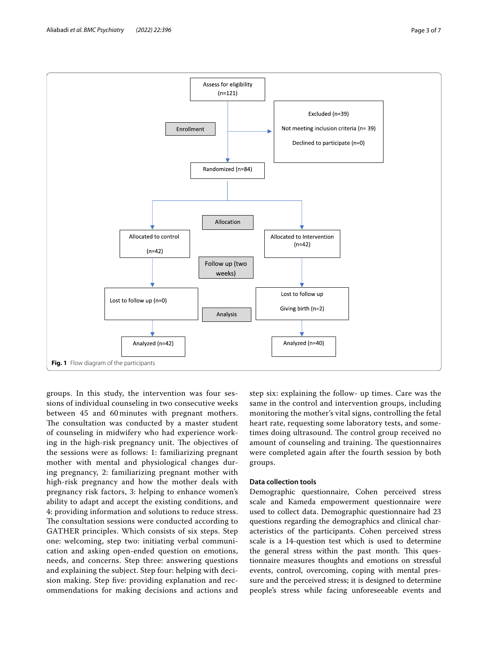

<span id="page-2-0"></span>groups. In this study, the intervention was four sessions of individual counseling in two consecutive weeks between 45 and 60 minutes with pregnant mothers. The consultation was conducted by a master student of counseling in midwifery who had experience working in the high-risk pregnancy unit. The objectives of the sessions were as follows: 1: familiarizing pregnant mother with mental and physiological changes during pregnancy, 2: familiarizing pregnant mother with high-risk pregnancy and how the mother deals with pregnancy risk factors, 3: helping to enhance women's ability to adapt and accept the existing conditions, and 4: providing information and solutions to reduce stress. The consultation sessions were conducted according to GATHER principles. Which consists of six steps. Step one: welcoming, step two: initiating verbal communication and asking open-ended question on emotions, needs, and concerns. Step three: answering questions and explaining the subject. Step four: helping with decision making. Step fve: providing explanation and recommendations for making decisions and actions and

step six: explaining the follow- up times. Care was the same in the control and intervention groups, including monitoring the mother's vital signs, controlling the fetal heart rate, requesting some laboratory tests, and sometimes doing ultrasound. The control group received no amount of counseling and training. The questionnaires were completed again after the fourth session by both groups.

# **Data collection tools**

Demographic questionnaire, Cohen perceived stress scale and Kameda empowerment questionnaire were used to collect data. Demographic questionnaire had 23 questions regarding the demographics and clinical characteristics of the participants. Cohen perceived stress scale is a 14-question test which is used to determine the general stress within the past month. This questionnaire measures thoughts and emotions on stressful events, control, overcoming, coping with mental pressure and the perceived stress; it is designed to determine people's stress while facing unforeseeable events and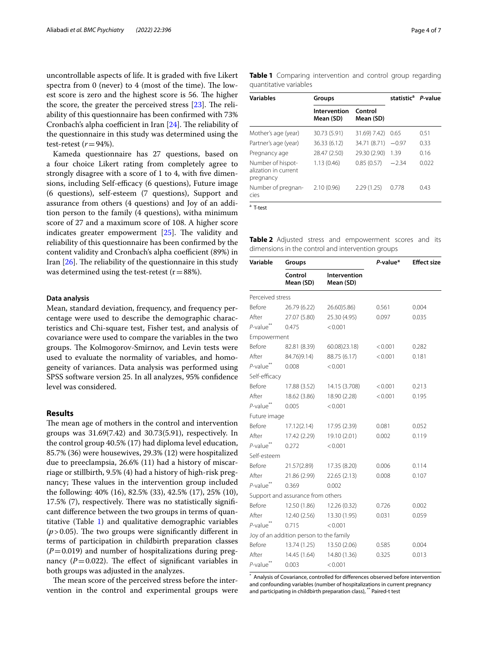uncontrollable aspects of life. It is graded with fve Likert spectra from 0 (never) to 4 (most of the time). The lowest score is zero and the highest score is 56. The higher the score, the greater the perceived stress  $[23]$  $[23]$  $[23]$ . The reliability of this questionnaire has been confrmed with 73% Cronbach's alpha coefficient in Iran  $[24]$  $[24]$ . The reliability of the questionnaire in this study was determined using the test-retest  $(r=94\%)$ .

Kameda questionnaire has 27 questions, based on a four choice Likert rating from completely agree to strongly disagree with a score of 1 to 4, with five dimensions, including Self-efficacy (6 questions), Future image (6 questions), self-esteem (7 questions), Support and assurance from others (4 questions) and Joy of an addition person to the family (4 questions), witha minimum score of 27 and a maximum score of 108. A higher score indicates greater empowerment  $[25]$  $[25]$ . The validity and reliability of this questionnaire has been confrmed by the content validity and Cronbach's alpha coefficient (89%) in Iran  $[26]$  $[26]$ . The reliability of the questionnaire in this study was determined using the test-retest  $(r=88\%)$ .

# **Data analysis**

Mean, standard deviation, frequency, and frequency percentage were used to describe the demographic characteristics and Chi-square test, Fisher test, and analysis of covariance were used to compare the variables in the two groups. The Kolmogorov-Smirnov, and Levin tests were used to evaluate the normality of variables, and homogeneity of variances. Data analysis was performed using SPSS software version 25. In all analyzes, 95% confdence level was considered.

## **Results**

The mean age of mothers in the control and intervention groups was 31.69(7.42) and 30.73(5.91), respectively. In the control group 40.5% (17) had diploma level education, 85.7% (36) were housewives, 29.3% (12) were hospitalized due to preeclampsia, 26.6% (11) had a history of miscarriage or stillbirth, 9.5% (4) had a history of high-risk pregnancy; These values in the intervention group included the following: 40% (16), 82.5% (33), 42.5% (17), 25% (10),  $17.5\%$  (7), respectively. There was no statistically significant diference between the two groups in terms of quantitative (Table [1\)](#page-3-0) and qualitative demographic variables  $(p > 0.05)$ . The two groups were significantly different in terms of participation in childbirth preparation classes  $(P=0.019)$  and number of hospitalizations during pregnancy  $(P=0.022)$ . The effect of significant variables in both groups was adjusted in the analyzes.

The mean score of the perceived stress before the intervention in the control and experimental groups were

<span id="page-3-0"></span>

|                        |  | Table 1 Comparing intervention and control group regarding |  |  |  |
|------------------------|--|------------------------------------------------------------|--|--|--|
| quantitative variables |  |                                                            |  |  |  |

| <b>Variables</b>                                       | Groups                                            | statistic <sup>a</sup> P-value |         |       |  |
|--------------------------------------------------------|---------------------------------------------------|--------------------------------|---------|-------|--|
|                                                        | Control<br>Intervention<br>Mean (SD)<br>Mean (SD) |                                |         |       |  |
| Mother's age (year)                                    | 30.73 (5.91)                                      | 31.69) 7.42)                   | 0.65    | 0.51  |  |
| Partner's age (year)                                   | 36.33 (6.12)                                      | 34.71 (8.71)                   | $-0.97$ | 0.33  |  |
| Pregnancy age                                          | 28.47 (2.50)                                      | 29.30 (2.90)                   | 1.39    | 0.16  |  |
| Number of hispot-<br>alization in current<br>pregnancy | 1.13(0.46)                                        | 0.85(0.57)                     | $-2.34$ | 0.022 |  |
| Number of pregnan-<br>cies                             | 2.10(0.96)                                        | 2.29(1.25)                     | 0.778   | 0.43  |  |
| <sup>a</sup> T-test                                    |                                                   |                                |         |       |  |

<span id="page-3-1"></span>**Table 2** Adjusted stress and empowerment scores and its dimensions in the control and intervention groups

| Variable                 | Groups                                  |                           | P-value* | <b>Effect size</b> |  |
|--------------------------|-----------------------------------------|---------------------------|----------|--------------------|--|
|                          | Control<br>Mean (SD)                    | Intervention<br>Mean (SD) |          |                    |  |
| Perceived stress         |                                         |                           |          |                    |  |
| Before                   | 26.79 (6.22)                            | 26.60) 5.86)              | 0.561    | 0.004              |  |
| After                    | 27.07 (5.80)                            | 25.30 (4.95)              | 0.097    | 0.035              |  |
| $P$ -value <sup>**</sup> | 0.475                                   | < 0.001                   |          |                    |  |
| Empowerment              |                                         |                           |          |                    |  |
| <b>Before</b>            | 82.81 (8.39)                            | 60.08)23.18)              | < 0.001  | 0.282              |  |
| After                    | 84.76)9.14)                             | 88.75 (6.17)              | < 0.001  | 0.181              |  |
| $P$ -value $*$           | 0.008                                   | < 0.001                   |          |                    |  |
| Self-efficacy            |                                         |                           |          |                    |  |
| Before                   | 17.88 (3.52)                            | 14.15 (3.708)             | < 0.001  | 0.213              |  |
| After                    | 18.62 (3.86)                            | 18.90 (2.28)              | < 0.001  | 0.195              |  |
| $P$ -value <sup>**</sup> | 0.005                                   | < 0.001                   |          |                    |  |
| Future image             |                                         |                           |          |                    |  |
| Before                   | 17.12(2.14)                             | 17.95 (2.39)              | 0.081    | 0.052              |  |
| After                    | 17.42 (2.29)                            | 19.10 (2.01)              | 0.002    | 0.119              |  |
| $P$ -value <sup>**</sup> | 0.272                                   | < 0.001                   |          |                    |  |
| Self-esteem              |                                         |                           |          |                    |  |
| Before                   | 21.57(2.89)                             | 17.35 (8.20)              | 0.006    | 0.114              |  |
| After                    | 21.86 (2.99)                            | 22.65 (2.13)              | 0.008    | 0.107              |  |
| $P$ -value <sup>**</sup> | 0.369                                   | 0.002                     |          |                    |  |
|                          | Support and assurance from others       |                           |          |                    |  |
| <b>Before</b>            | 12.50 (1.86)                            | 12.26 (0.32)              | 0.726    | 0.002              |  |
| After                    | 12.40 (2.56)                            | 13.30 (1.95)              | 0.031    | 0.059              |  |
| $P$ -value $*$           | 0.715                                   | < 0.001                   |          |                    |  |
|                          | Joy of an addition person to the family |                           |          |                    |  |
| Before                   | 13.74 (1.25)                            | 13.50 (2.06)              | 0.585    | 0.004              |  |
| After                    | 14.45 (1.64)                            | 14.80 (1.36)              | 0.325    | 0.013              |  |
| $P$ -value"              | 0.003                                   | < 0.001                   |          |                    |  |

\* Analysis of Covariance, controlled for diferences observed before intervention and confounding variables (number of hospitalizations in current pregnancy and participating in childbirth preparation class), \*\* Paired-t test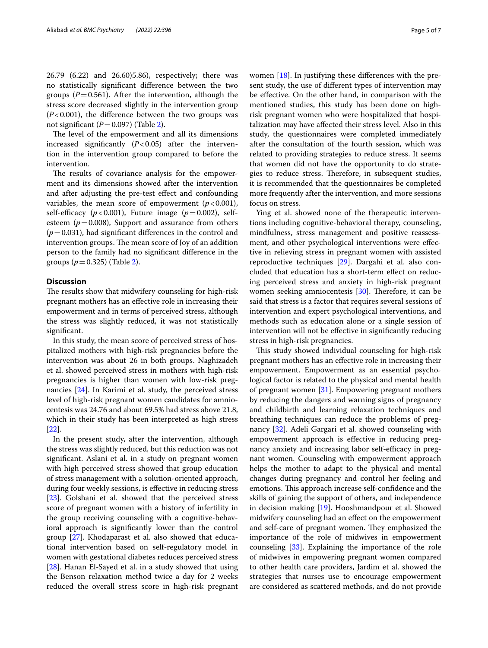26.79 (6.22) and 26.60)5.86), respectively; there was no statistically signifcant diference between the two groups ( $P=0.561$ ). After the intervention, although the stress score decreased slightly in the intervention group  $(P<0.001)$ , the difference between the two groups was not significant  $(P=0.097)$  (Table [2\)](#page-3-1).

The level of the empowerment and all its dimensions increased significantly  $(P<0.05)$  after the intervention in the intervention group compared to before the intervention.

The results of covariance analysis for the empowerment and its dimensions showed after the intervention and after adjusting the pre-test efect and confounding variables, the mean score of empowerment  $(p<0.001)$ , self-efficacy  $(p<0.001)$ , Future image  $(p=0.002)$ , selfesteem  $(p=0.008)$ , Support and assurance from others  $(p=0.031)$ , had significant differences in the control and intervention groups. The mean score of Joy of an addition person to the family had no signifcant diference in the groups  $(p=0.325)$  (Table [2\)](#page-3-1).

## **Discussion**

The results show that midwifery counseling for high-risk pregnant mothers has an efective role in increasing their empowerment and in terms of perceived stress, although the stress was slightly reduced, it was not statistically signifcant.

In this study, the mean score of perceived stress of hospitalized mothers with high-risk pregnancies before the intervention was about 26 in both groups. Naghizadeh et al. showed perceived stress in mothers with high-risk pregnancies is higher than women with low-risk pregnancies [\[24](#page-6-16)]. In Karimi et al. study, the perceived stress level of high-risk pregnant women candidates for amniocentesis was 24.76 and about 69.5% had stress above 21.8, which in their study has been interpreted as high stress [[22\]](#page-6-14).

In the present study, after the intervention, although the stress was slightly reduced, but this reduction was not significant. Aslani et al. in a study on pregnant women with high perceived stress showed that group education of stress management with a solution-oriented approach, during four weekly sessions, is efective in reducing stress [[23\]](#page-6-15). Golshani et al. showed that the perceived stress score of pregnant women with a history of infertility in the group receiving counseling with a cognitive-behavioral approach is signifcantly lower than the control group [[27\]](#page-6-19). Khodaparast et al. also showed that educational intervention based on self-regulatory model in women with gestational diabetes reduces perceived stress [[28\]](#page-6-20). Hanan El-Sayed et al. in a study showed that using the Benson relaxation method twice a day for 2 weeks reduced the overall stress score in high-risk pregnant women [\[18\]](#page-6-10). In justifying these diferences with the present study, the use of diferent types of intervention may be efective. On the other hand, in comparison with the mentioned studies, this study has been done on highrisk pregnant women who were hospitalized that hospitalization may have afected their stress level. Also in this study, the questionnaires were completed immediately after the consultation of the fourth session, which was related to providing strategies to reduce stress. It seems that women did not have the opportunity to do strategies to reduce stress. Therefore, in subsequent studies, it is recommended that the questionnaires be completed more frequently after the intervention, and more sessions focus on stress.

Ying et al. showed none of the therapeutic interventions including cognitive-behavioral therapy, counseling, mindfulness, stress management and positive reassessment, and other psychological interventions were efective in relieving stress in pregnant women with assisted reproductive techniques [[29](#page-6-21)]. Dargahi et al. also concluded that education has a short-term efect on reducing perceived stress and anxiety in high-risk pregnant women seeking amniocentesis  $[30]$  $[30]$ . Therefore, it can be said that stress is a factor that requires several sessions of intervention and expert psychological interventions, and methods such as education alone or a single session of intervention will not be efective in signifcantly reducing stress in high-risk pregnancies.

This study showed individual counseling for high-risk pregnant mothers has an efective role in increasing their empowerment. Empowerment as an essential psychological factor is related to the physical and mental health of pregnant women [[31\]](#page-6-23). Empowering pregnant mothers by reducing the dangers and warning signs of pregnancy and childbirth and learning relaxation techniques and breathing techniques can reduce the problems of pregnancy [[32\]](#page-6-24). Adeli Gargari et al. showed counseling with empowerment approach is efective in reducing pregnancy anxiety and increasing labor self-efficacy in pregnant women. Counseling with empowerment approach helps the mother to adapt to the physical and mental changes during pregnancy and control her feeling and emotions. This approach increase self-confidence and the skills of gaining the support of others, and independence in decision making [\[19](#page-6-11)]. Hooshmandpour et al. Showed midwifery counseling had an efect on the empowerment and self-care of pregnant women. They emphasized the importance of the role of midwives in empowerment counseling [\[33](#page-6-25)]. Explaining the importance of the role of midwives in empowering pregnant women compared to other health care providers, Jardim et al. showed the strategies that nurses use to encourage empowerment are considered as scattered methods, and do not provide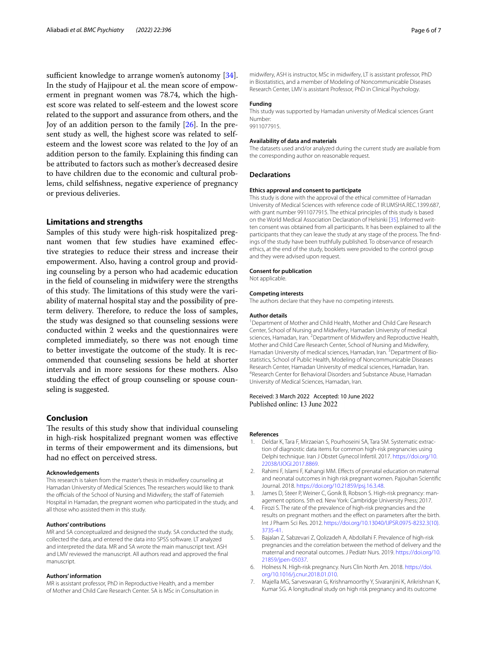sufficient knowledge to arrange women's autonomy [\[34](#page-6-26)]. In the study of Hajipour et al. the mean score of empowerment in pregnant women was 78.74, which the highest score was related to self-esteem and the lowest score related to the support and assurance from others, and the Joy of an addition person to the family [\[26](#page-6-18)]. In the present study as well, the highest score was related to selfesteem and the lowest score was related to the Joy of an addition person to the family. Explaining this fnding can be attributed to factors such as mother's decreased desire to have children due to the economic and cultural problems, child selfshness, negative experience of pregnancy or previous deliveries.

## **Limitations and strengths**

Samples of this study were high-risk hospitalized pregnant women that few studies have examined efective strategies to reduce their stress and increase their empowerment. Also, having a control group and providing counseling by a person who had academic education in the feld of counseling in midwifery were the strengths of this study. The limitations of this study were the variability of maternal hospital stay and the possibility of preterm delivery. Therefore, to reduce the loss of samples, the study was designed so that counseling sessions were conducted within 2 weeks and the questionnaires were completed immediately, so there was not enough time to better investigate the outcome of the study. It is recommended that counseling sessions be held at shorter intervals and in more sessions for these mothers. Also studding the efect of group counseling or spouse counseling is suggested.

# **Conclusion**

The results of this study show that individual counseling in high-risk hospitalized pregnant women was efective in terms of their empowerment and its dimensions, but had no efect on perceived stress.

#### **Acknowledgements**

This research is taken from the master's thesis in midwifery counseling at Hamadan University of Medical Sciences. The researchers would like to thank the officials of the School of Nursing and Midwifery, the staff of Fatemieh Hospital in Hamadan, the pregnant women who participated in the study, and all those who assisted them in this study.

#### **Authors' contributions**

MR and SA conceptualized and designed the study. SA conducted the study, collected the data, and entered the data into SPSS software. LT analyzed and interpreted the data. MR and SA wrote the main manuscript text. ASH and LMV reviewed the manuscript. All authors read and approved the fnal manuscript.

#### **Authors' information**

MR is assistant professor, PhD in Reproductive Health, and a member of Mother and Child Care Research Center. SA is MSc in Consultation in

midwifery, ASH is instructor, MSc in midwifery, LT is assistant professor, PhD in Biostatistics, and a member of Modeling of Noncommunicable Diseases Research Center, LMV is assistant Professor, PhD in Clinical Psychology.

#### **Funding**

This study was supported by Hamadan university of Medical sciences Grant Number: 9911077915.

#### **Availability of data and materials**

The datasets used and/or analyzed during the current study are available from the corresponding author on reasonable request.

#### **Declarations**

#### **Ethics approval and consent to participate**

This study is done with the approval of the ethical committee of Hamadan University of Medical Sciences with reference code of IR.UMSHA.REC.1399.687, with grant number 9911077915. The ethical principles of this study is based on the World Medical Association Declaration of Helsinki [[35](#page-6-27)]. Informed written consent was obtained from all participants. It has been explained to all the participants that they can leave the study at any stage of the process. The fndings of the study have been truthfully published. To observance of research ethics, at the end of the study, booklets were provided to the control group and they were advised upon request.

**Consent for publication**

Not applicable.

#### **Competing interests**

The authors declare that they have no competing interests.

#### **Author details**

<sup>1</sup> Department of Mother and Child Health, Mother and Child Care Research Center, School of Nursing and Midwifery, Hamadan University of medical sciences, Hamadan, Iran. <sup>2</sup> Department of Midwifery and Reproductive Health, Mother and Child Care Research Center, School of Nursing and Midwifery, Hamadan University of medical sciences, Hamadan, Iran.<sup>3</sup> Department of Biostatistics, School of Public Health, Modeling of Noncommunicable Diseases Research Center, Hamadan University of medical sciences, Hamadan, Iran. Research Center for Behavioral Disorders and Substance Abuse, Hamadan University of Medical Sciences, Hamadan, Iran.

### Received: 3 March 2022 Accepted: 10 June 2022 Published online: 13 June 2022

## **References**

- <span id="page-5-0"></span>1. Deldar K, Tara F, Mirzaeian S, Pourhoseini SA, Tara SM. Systematic extraction of diagnostic data items for common high-risk pregnancies using Delphi technique. Iran J Obstet Gynecol Infertil. 2017. [https://doi.org/10.](https://doi.org/10.22038/IJOGI.2017.8869) [22038/IJOGI.2017.8869](https://doi.org/10.22038/IJOGI.2017.8869).
- <span id="page-5-1"></span>2. Rahimi F, Islami F, Kahangi MM. Efects of prenatal education on maternal and neonatal outcomes in high risk pregnant women. Pajouhan Scientifc Journal. 2018.<https://doi.org/10.21859/psj.16.3.48>.
- <span id="page-5-2"></span>3. James D, Steer P, Weiner C, Gonik B, Robson S. High-risk pregnancy: management options. 5th ed. New York: Cambridge University Press; 2017.
- <span id="page-5-3"></span>4. Firozi S. The rate of the prevalence of high-risk pregnancies and the results on pregnant mothers and the efect on parameters after the birth. Int J Pharm Sci Res. 2012. [https://doi.org/10.13040/IJPSR.0975-8232.3\(10\).](https://doi.org/10.13040/IJPSR.0975-8232.3(10).3735-41) [3735-41.](https://doi.org/10.13040/IJPSR.0975-8232.3(10).3735-41)
- <span id="page-5-4"></span>5. Bajalan Z, Sabzevari Z, Qolizadeh A, Abdollahi F. Prevalence of high-risk pregnancies and the correlation between the method of delivery and the maternal and neonatal outcomes. J Pediatr Nurs. 2019. [https://doi.org/10.](https://doi.org/10.21859/jpen-05037) [21859/jpen-05037.](https://doi.org/10.21859/jpen-05037)
- <span id="page-5-5"></span>6. Holness N. High-risk pregnancy. Nurs Clin North Am. 2018. [https://doi.](https://doi.org/10.1016/j.cnur.2018.01.010) [org/10.1016/j.cnur.2018.01.010](https://doi.org/10.1016/j.cnur.2018.01.010).
- <span id="page-5-6"></span>7. Majella MG, Sarveswaran G, Krishnamoorthy Y, Sivaranjini K, Arikrishnan K, Kumar SG. A longitudinal study on high risk pregnancy and its outcome